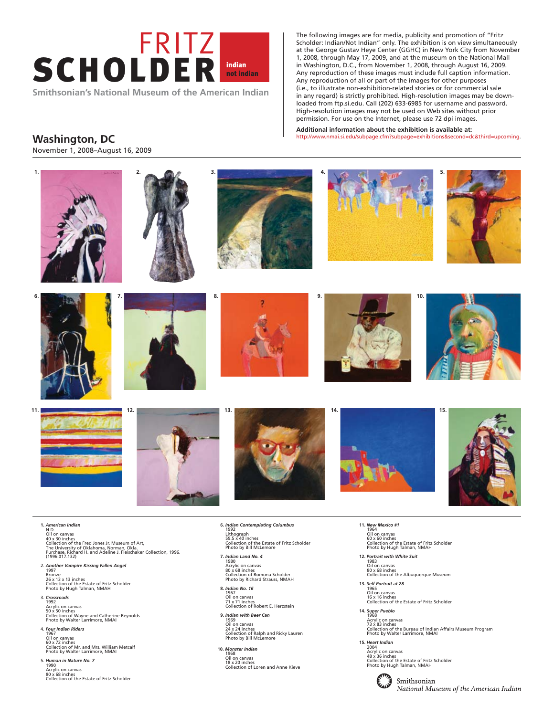

**Smithsonian's National Museum of the American Indian** 

The following images are for media, publicity and promotion of "Fritz Scholder: Indian/Not Indian" only. The exhibition is on view simultaneously at the George Gustav Heye Center (GGHC) in New York City from November 1, 2008, through May 17, 2009, and at the museum on the National Mall in Washington, D.C., from November 1, 2008, through August 16, 2009. Any reproduction of these images must include full caption information. Any reproduction of all or part of the images for other purposes (i.e., to illustrate non-exhibition-related stories or for commercial sale in any regard) is strictly prohibited. High-resolution images may be downloaded from ftp.si.edu. Call (202) 633-6985 for username and password. High-resolution images may not be used on Web sites without prior permission. For use on the Internet, please use 72 dpi images.

**Additional information about the exhibition is available at:**  http://www.nmai.si.edu/subpage.cfm?subpage=exhibitions&second=dc&third=upcoming.

## **Washington, DC**

November 1, 2008–August 16, 2009



4. *Four Indian Riders*  1967 Oil on canvas 60 x 72 inches Collection of Mr. and Mrs. William Metcalf Photo by Walter Larrimore, NMAI

5. *Human in Nature No. 7*  1990 Acrylic on canvas 80 x 68 inches Collection of the Estate of Fritz Scholder

- **9.** *Indian with Beer Can*  1969 Oil on canvas 24 x 24 inches Collection of Ralph and Ricky Lauren Photo by Bill McLemore
- **10.** *Monster Indian*  1968 Oil on canvas 18 x 20 inches Collection of Loren and Anne Kieve
- 1968 Acrylic on canvas 73 x 83 inches Collection of the Bureau of Indian Affairs Museum Program Photo by Walter Larrimore, NMAI
- **15.** *Heart Indian*  2004 Acrylic on canvas 48 x 36 inches Collection of the Estate of Fritz Scholder Photo by Hugh Talman, NMAH

Smithsonian National Museum of the American Indian